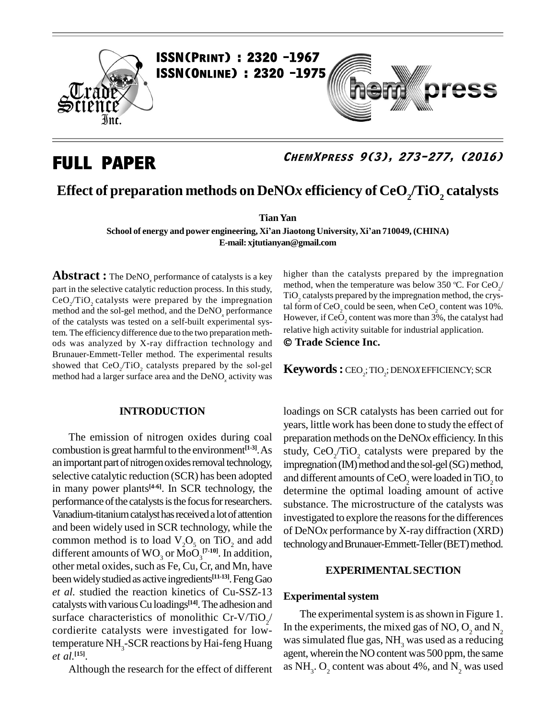

## **FULL PAPER**

## **ChemXpress 9(3), 273-277, (2016)**

ess

## **Effect of preparation methods on DeNO***x* **efficiency of CeO<sup>2</sup> /TiO<sup>2</sup> catalysts**

**TianYan**

**School of energy and power engineering, Xiían Jiaotong University, Xiían 710049, (CHINA) E-mail: [xjtutianyan@gmail.com](mailto:xjtutianyan@gmail.com)**

**Abstract :** The DeNO<sub>x</sub> performance of catalysts is a key part in the selective catalytic reduction process. In this study,  $CeO_2/TiO_2$  catalysts were prepared by the impregnation  $\frac{1102}{100}$ method and the sol-gel method, and the DeNO<sub>x</sub> performance tal form of CeO<sub>2</sub> could be seen, when CeO<sub>2</sub> content was 10%. of the catalysts was tested on a self-built experimental system. The efficiency difference due to the two preparation meth-<br>relative high activity suitable for industrial application. ods was analyzed by X-ray diffraction technology and  $\circ$  Tr<br>Brunauer-Emmett-Teller method. The experimental results<br>showed that CeO<sub>2</sub>/TiO<sub>2</sub> catalysts prepared by the sol-gel **Kev** Brunauer-Emmett-Teller method. The experimental results<br>showed that CeO<sub>2</sub>/TiO<sub>2</sub> catalysts prepared by the sol-gel<br>method had a larger surface area and the DeNO<sub>x</sub> activity was showed that  $CeO<sub>2</sub>/TiO<sub>2</sub>$  catalysts prepared by the sol-gel method had a larger surface area and the DeNO<sub>s</sub> activity was

#### **INTRODUCTION**

The emission of nitrogen oxides during coal combustion isgreat harmful to the environment **[1-3]**.As an important part of nitrogen oxides removal technology, selective catalytic reduction (SCR) has been adopted in many power plants<sup>[4-6]</sup>. In SCR technology, the detern performance of the catalysts is the focus for researchers. Vanadium-titanium catalyst has received a lot of attention and been widely used in SCR technology, while the common method is to load  $V_2O_5$  on TiO<sub>2</sub> and add different amounts of  $\rm WO_{_3}$  or  $\rm MoO_{_3}^{[7\text{-}10]}.$  In addition, other metal oxides, such as Fe, Cu, Cr, and Mn, have been widely studied as active ingredients<sup>[11-13]</sup>. Feng Gao *et al.* studied the reaction kinetics of Cu-SSZ-13 catalysts with various Cu loadings<sup>[14]</sup>. The adhesion and surface characteristics of monolithic Cr-V/TiO<sub>2</sub>/ cordierite catalysts were investigated for lowtemperature NH<sub>3</sub>-SCR reactions by Hai-feng Huang *et al.* **[15]**.

Although the research for the effect of different

higher than the catalysts prepared by the impregnation method, when the temperature was below 350 °C. For CeO<sub>2</sub>/ TiO<sub>2</sub> catalysts prepared by the impregnation method, the crystal form of CeO<sub>2</sub> could be seen, when CeO<sub>2</sub> content was 10%.<br>However, if CeO<sub>2</sub> content was more than 3%, the catalyst had However, if CeO<sub>2</sub> content was more than 3%, the catalyst had<br>relative high activity suitable for industrial application. **Trade Science Inc.**

 ${\bf Keywords:}$  CEO<sub>2</sub>; TIO<sub>2</sub>; DENO*X* EFFICIENCY; SCR

loadings on SCR catalysts has been carried out for years, little work has been done to study the effect of preparation methods on the DeNO*x* efficiency.In this study,  $CeO<sub>2</sub>/TiO<sub>2</sub>$  catalysts were prepared by the impregnation (IM) method and the sol-gel (SG) method, and different amounts of  $\mathrm{CeO}_2$  were loaded in  $\mathrm{TiO}_2$  to determine the optimal loading amount of active substance. The microstructure of the catalysts was investigated to explore the reasons for the differences of DeNO*x* performance by X-ray diffraction (XRD) technology and Brunauer-Emmett-Teller (BET) method.

#### **EXPERIMENTALSECTION**

#### **Experimental system**

The experimental system is as shown in Figure 1. In the experiments, the mixed gas of NO,  $O_2$  and N<sub>2</sub> was simulated flue gas, NH<sub>3</sub> was used as a reducing agent, wherein theNO content was 500 ppm, the same as NH<sub>3</sub>. O<sub>2</sub> content was about 4%, and N<sub>2</sub> was used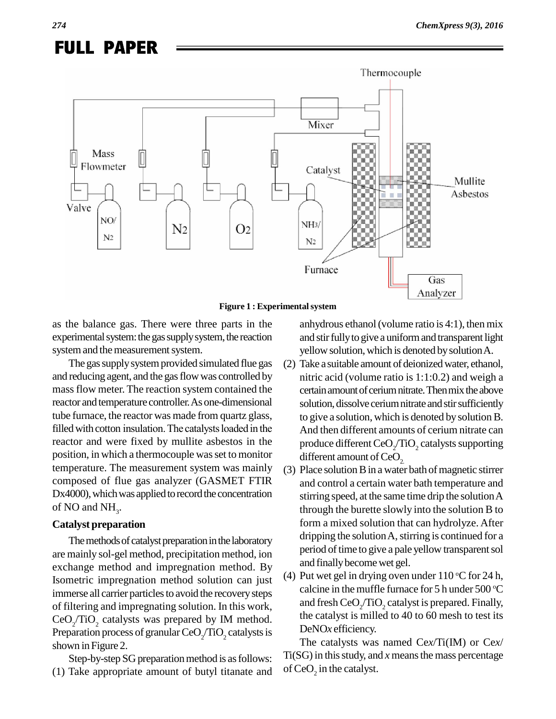# **FULL PAPER**



as the balance gas. There were three parts in the experimental system: the gas supply system, the reaction

system and the measurement system. The gas supply system provided simulated flue gas and reducing agent, and the gas flow was controlled by massflow meter. The reaction system contained the reactor and temperature controller.As one-dimensional tube furnace, the reactor was made from quartz glass, filled with cotton insulation. The catalysts loaded in the reactor and were fixed by mullite asbestos in the position, in which a thermocouple was set to monitor temperature. The measurement system was mainly composed of flue gas analyzer (GASMET FTIR Dx4000), which was applied to record the concentration of NO and  $NH<sub>3</sub>$ .

### **Catalyst preparation**

The methods of catalyst preparation in the laboratory are mainly sol-gel method, precipitation method, ion exchange method and impregnation method. By Isometric impregnation method solution can just immerse all carrier particles to avoid the recovery steps of filtering and impregnating solution. In this work, CeO<sub>2</sub>/TiO<sub>2</sub> catalysts was prepared by IM method.  $CeO_2/TiO_2$  catalysts was prepared by IM method.  $P$ Preparation process of granular  $CeO_2/TiO_2$  catalysts is shown in Figure 2.

Step-by-step SG preparation method is as follows: (1) Take appropriate amount of butyl titanate and anhydrous ethanol (volume ratio is  $4:1$ ), then mix and stir fully to give a uniform and transparent light yellow solution, which is denoted by solution A.

- (2) Take a suitable amount of deionizedwater, ethanol, nitric acid (volume ratio is  $1:1:0.2$ ) and weigh a certain amount of cerium nitrate. Then mix the above solution, dissolve cerium nitrate and stir sufficiently to give a solution, which is denoted by solution B. And then different amounts of cerium nitrate can produce different CeO<sub>2</sub>/TiO<sub>2</sub> catalysts supporting different amount of  $CeO<sub>2</sub>$ .<br>(3) Place solution B in a water bath of magnetic stirrer
- and control a certain water bath temperature and stirring speed, at the same time drip the solutionA through the burette slowly into the solution B to form a mixed solution that can hydrolyze. After dripping the solution A, stirring is continued for a period of time to give a pale yellow transparent sol and finally become wet gel.
- (4) Put wet gel in drying oven under  $110^{\circ}$ C for 24 h, calcine in the muffle furnace for 5 h under 500  $^{\circ}\text{C}$ and fresh  $CeO$ ,  $TiO$ , catalyst is prepared. Finally, the catalyst is milled to 40 to 60 mesh to test its DeNO*x* efficiency.

The catalysts was named Ce*x*/Ti(IM) or Ce*x*/  $Ti(SG)$  in this study, and  $x$  means the mass percentage of  $\text{CeO}_2$  in the catalyst.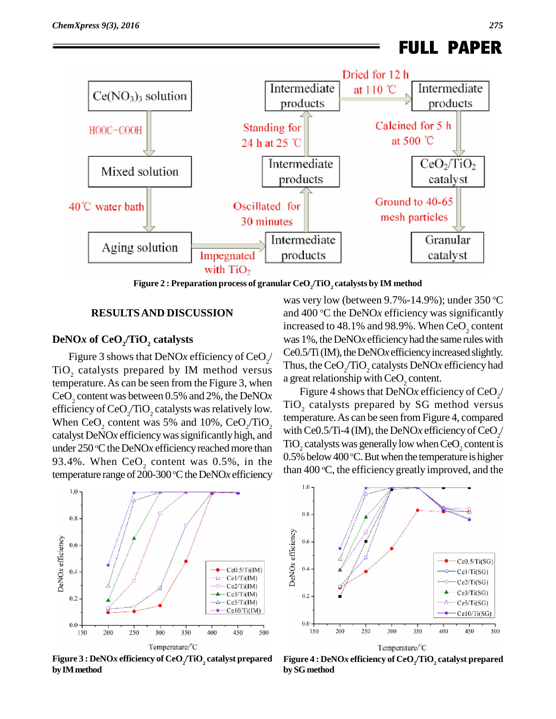

**Figure 2 : Preparation process of granular CeO<sup>2</sup> /TiO<sup>2</sup> catalysts by IM method**

#### **RESULTSAND DISCUSSION**

## **DeNO***x* **of CeO<sup>2</sup> /TiO<sup>2</sup> catalysts**

Figure 3 shows that DeNO*x* efficiency of CeO<sub> $2$ </sub>  $TiO<sub>2</sub>$  catalysts prepared by IM method versus  $\frac{Inus, me ceO<sub>2</sub>/11O<sub>2</sub>$  catalysts DeNOx<br>temperature As can be seen from the Figure 3, when a great relationship with CeO<sub>2</sub> content. temperature.As can be seen from the Figure 3, when CeO<sup>2</sup> content was between 0.5% and 2%, the DeNO*x* efficiency of CeO<sub>2</sub>/TiO<sub>2</sub> catalysts was relatively low.<br>When CeO<sub>2</sub> content was 5% and 10%, CeO<sub>2</sub>/TiO<sub>2</sub> When CeO<sub>2</sub> content was 5% and 10%, CeO<sub>2</sub>/TiO<sub>2</sub> catalyst DeNO*x* efficiencywassignificantlyhigh, and under 250 °C the DeNO*x* efficiency reached more than 93.4%. When  $CeO<sub>2</sub>$  content was 0.5%, in the temperature range of 200-300 °C the DeNO*x* efficiency unan 40

 $\frac{\text{Ce0.5/Ti (IM)}}{\text{Ce0.5}}$ , the DeNO*x* efficiency increased slightly. was very low (between 9.7%-14.9%); under 350 °C and 400 °C the DeNO*x* efficiency was significantly increased to  $48.1\%$  and  $98.9\%$ . When CeO<sub>2</sub> content was 1%, the DeNO*x* efficiency had the same rules with Thus, the  $\text{CeO}_2/\text{TiO}_2$  catalysts DeNO*x* efficiency had

a great relationship with CeO<sub>2</sub> content.<br>Figure 4 shows that DeNO*x* efficiency of CeO<sub>2</sub>/ TiO<sub>2</sub> catalysts prepared by SG method versus temperature.As can be seen from Figure 4, compared with Ce0.5/Ti-4 (IM), the DeNO*x* efficiency of CeO<sub>2</sub>/  $TiO<sub>2</sub>$  catalysts was generally low when  $CeO<sub>2</sub>$  content is  $0.5\%$  below  $400\,^{\circ}\textrm{C}$ . But when the temperature is higher than 400 °C, the efficiency greatly improved, and the



**Figure 3 : DeNO***x* **efficiency of CeO<sup>2</sup> /TiO<sup>2</sup> catalyst prepared byIMmethod**



**Figure 4 : DeNO***x* **efficiency of CeO<sup>2</sup> /TiO<sup>2</sup> catalyst prepared bySGmethod**

**FULL PAPER**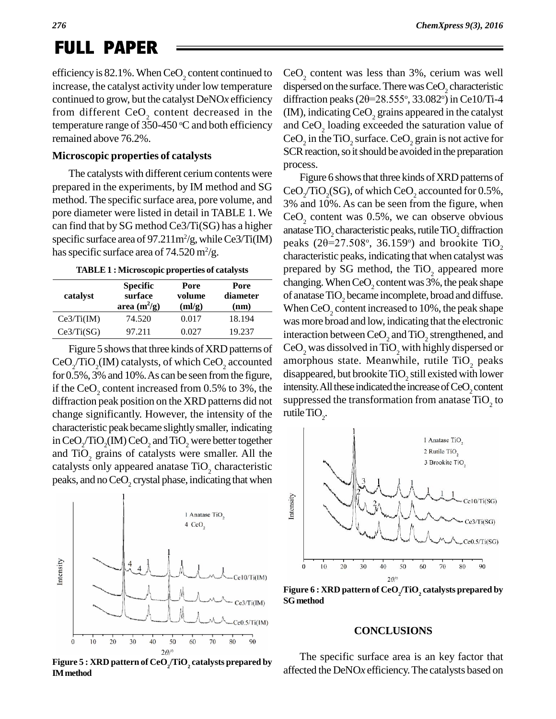# **FULL PAPER**

efficiency is 82.1%. When  $CeO<sub>2</sub>$  content continued to increase, the catalyst activity under low temperature continued to grow, but the catalyst DeNO*x* efficiency from different  $CeO<sub>2</sub>$  content decreased in the temperature range of  $350-450$  °C and both efficiency and Ce remained above 76.2%.

#### **Microscopic properties of catalysts**

The catalysts with different cerium contents were prepared in the experiments, by IM method and SG method. The specific surface area, pore volume, and  $3\%$  and  $10\%$ . As can be seen from the figure, when pore diameter were listed in detail in TABLE 1. We can find that by SG method Ce3/Ti(SG) has a higher specific surface area of 97.211m<sup>2</sup>/g, while Ce3/Ti(IM)  $_{\text{nea}}$ has specific surface area of  $74.520 \,\mathrm{m}^2/\mathrm{g}$ .

| TABLE 1 : Microscopic properties of catalysts |  |
|-----------------------------------------------|--|
|-----------------------------------------------|--|

| catalyst   | <b>Specific</b><br>surface<br>area $(m^2/g)$ | Pore<br>volume<br>(ml/g) | Pore<br>diameter<br>(nm) | c<br>Ω |
|------------|----------------------------------------------|--------------------------|--------------------------|--------|
| Ce3/Ti(IM) | 74.520                                       | 0.017                    | 18.194                   | V      |
| Ce3/Ti(SG) | 97.211                                       | 0.027                    | 19.237                   | 11     |

Figure 5 shows that three kinds of XRD patterns of  $CeO<sub>2</sub>/TiO<sub>2</sub>(IM)$  catalysts, of which  $CeO<sub>2</sub>$  accounted amorp for 0.5%, 3% and 10%.As can be seen fromthe figure, if the CeO<sub>2</sub> content increased from  $0.5\%$  to 3%, the diffraction peak position on the XRD patterns did not change significantly. However, the intensity of the characteristic peak became slightlysmaller, indicating in CeO<sub>2</sub>/TiO<sub>2</sub>(IM) CeO<sub>2</sub> and TiO<sub>2</sub> were better together and  $TiO<sub>2</sub>$  grains of catalysts were smaller. All the catalysts only appeared anatase TiO<sub>2</sub> characteristic peaks, and no  $CeO<sub>2</sub>$  crystal phase, indicating that when



**Figure 5 : XRD** pattern of CeO<sub>2</sub>/TiO<sub>2</sub> catalysts prepared by **IMmethod**

*ChemXpress 9(3), 2016*

CeO<sub>2</sub> content was less than 3%, cerium was well<br>dispersed on the surface. There was CeO<sub>2</sub> characteristic<br>diffraction peaks (2 $\theta$ =28.555°, 33.082°) in Ce10/Ti-4 dispersed on the surface. There was  $CeO$ , characteristic  $\,^{\circ}$ , 33.082 $\,^{\circ}$ ) in Ce10/Ti-4  $(M)$ , indicating CeO<sub>2</sub> grains appeared in the catalyst and  $CeO<sub>2</sub>$  loading exceeded the saturation value of CeO<sub>2</sub> in the TiO<sub>2</sub> surface. CeO<sub>2</sub> grain is not active for SCR reaction, so it should be avoided in the preparation process.

Figure 6 shows that three kinds of XRD patterns of CeO<sub>2</sub>/TiO<sub>2</sub>(SG), of which CeO<sub>2</sub> accounted for 0.5%,<br>3% and 10%. As can be seen from the figure, when  $CeO<sub>2</sub>$  content was 0.5%, we can observe obvious anatase  $\rm TiO_2$  characteristic peaks, rutile  $\rm TiO_2$  diffraction CeO<sub>2</sub> content was 0.5%, we<br>anatase TiO<sub>2</sub> characteristic peaks  $(2\theta=27.508^{\circ}, 36.159)$  $\degree$ , 36.159 $\degree$ ) and brookite TiO<sub>2</sub> characteristic peaks, indicating that when catalyst was prepared by SG method, the TiO<sub>2</sub> appeared more changing. When  $CeO<sub>2</sub>$  content was 3%, the peak shape of anatase TiO, became incomplete, broad and diffuse. When CeO<sub>2</sub> content increased to 10%, the peak shape was more broad and low, indicating that the electronic interaction between  $CeO$ , and  $TiO$ , strengthened, and  $\text{CeO}_2$  was dissolved in TiO<sub>2</sub> with highly dispersed or amorphous state. Meanwhile, rutile TiO<sub>2</sub> peaks disappeared, but brookite  $TiO<sub>2</sub>$  still existed with lower intensity. All these indicated the increase of  $CeO$ , content suppressed the transformation from anatase  $\rm TiO_2$  to rutile TiO<sub>2</sub>.



**Figure 6 : XRD pattern of CeO<sup>2</sup> /TiO<sup>2</sup> catalysts prepared by SGmethod**

#### **CONCLUSIONS**

The specific surface area is an key factor that affected the DeNO*x* efficiency.The catalysts based on